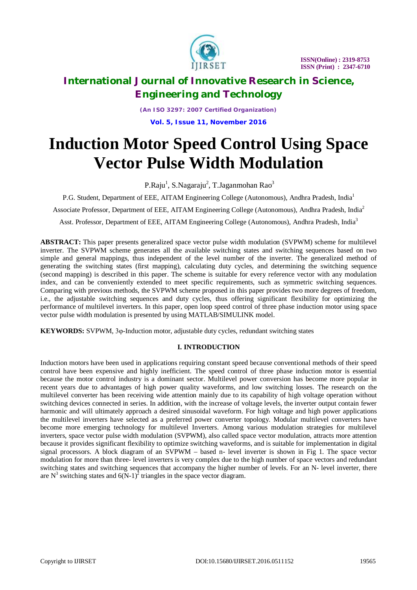

*(An ISO 3297: 2007 Certified Organization)* **Vol. 5, Issue 11, November 2016**

# **Induction Motor Speed Control Using Space Vector Pulse Width Modulation**

P.Raju $^1$ , S.Nagaraju $^2$ , T.Jaganmohan Rao $^3$ 

P.G. Student, Department of EEE, AITAM Engineering College (Autonomous), Andhra Pradesh, India<sup>1</sup>

Associate Professor, Department of EEE, AITAM Engineering College (Autonomous), Andhra Pradesh, India<sup>2</sup>

Asst. Professor, Department of EEE, AITAM Engineering College (Autonomous), Andhra Pradesh, India<sup>3</sup>

**ABSTRACT:** This paper presents generalized space vector pulse width modulation (SVPWM) scheme for multilevel inverter. The SVPWM scheme generates all the available switching states and switching sequences based on two simple and general mappings, thus independent of the level number of the inverter. The generalized method of generating the switching states (first mapping), calculating duty cycles, and determining the switching sequence (second mapping) is described in this paper. The scheme is suitable for every reference vector with any modulation index, and can be conveniently extended to meet specific requirements, such as symmetric switching sequences. Comparing with previous methods, the SVPWM scheme proposed in this paper provides two more degrees of freedom, i.e., the adjustable switching sequences and duty cycles, thus offering significant flexibility for optimizing the performance of multilevel inverters. In this paper, open loop speed control of three phase induction motor using space vector pulse width modulation is presented by using MATLAB/SIMULINK model.

**KEYWORDS:** SVPWM, 3φ-Induction motor, adjustable duty cycles, redundant switching states

### **I. INTRODUCTION**

Induction motors have been used in applications requiring constant speed because conventional methods of their speed control have been expensive and highly inefficient. The speed control of three phase induction motor is essential because the motor control industry is a dominant sector. Multilevel power conversion has become more popular in recent years due to advantages of high power quality waveforms, and low switching losses. The research on the multilevel converter has been receiving wide attention mainly due to its capability of high voltage operation without switching devices connected in series. In addition, with the increase of voltage levels, the inverter output contain fewer harmonic and will ultimately approach a desired sinusoidal waveform. For high voltage and high power applications the multilevel inverters have selected as a preferred power converter topology. Modular multilevel converters have become more emerging technology for multilevel Inverters. Among various modulation strategies for multilevel inverters, space vector pulse width modulation (SVPWM), also called space vector modulation, attracts more attention because it provides significant flexibility to optimize switching waveforms, and is suitable for implementation in digital signal processors. A block diagram of an SVPWM – based n- level inverter is shown in Fig 1. The space vector modulation for more than three- level inverters is very complex due to the high number of space vectors and redundant switching states and switching sequences that accompany the higher number of levels. For an N- level inverter, there are N<sup>3</sup> switching states and  $6(N-1)^2$  triangles in the space vector diagram.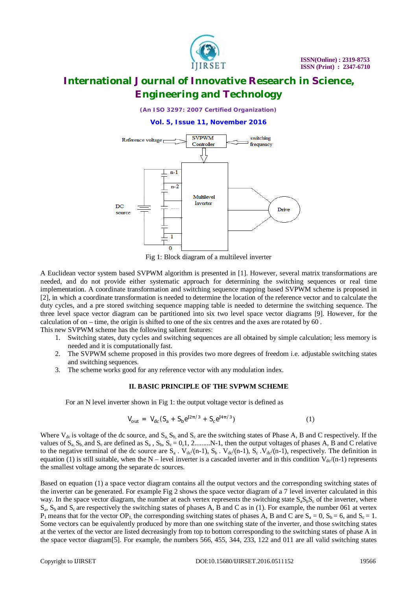

*(An ISO 3297: 2007 Certified Organization)*

#### **Vol. 5, Issue 11, November 2016**



Fig 1: Block diagram of a multilevel inverter

A Euclidean vector system based SVPWM algorithm is presented in [1]. However, several matrix transformations are needed, and do not provide either systematic approach for determining the switching sequences or real time implementation. A coordinate transformation and switching sequence mapping based SVPWM scheme is proposed in [2], in which a coordinate transformation is needed to determine the location of the reference vector and to calculate the duty cycles, and a pre stored switching sequence mapping table is needed to determine the switching sequence. The three level space vector diagram can be partitioned into six two level space vector diagrams [9]. However, for the calculation of on – time, the origin is shifted to one of the six centres and the axes are rotated by 60˚ . This new SVPWM scheme has the following salient features:

- 1. Switching states, duty cycles and switching sequences are all obtained by simple calculation; less memory is needed and it is computationally fast.
- 2. The SVPWM scheme proposed in this provides two more degrees of freedom i.e. adjustable switching states and switching sequences.
- 3. The scheme works good for any reference vector with any modulation index.

#### **II. BASIC PRINCIPLE OF THE SVPWM SCHEME**

For an N level inverter shown in Fig 1: the output voltage vector is defined as

$$
V_{\text{out}} = V_{\text{dc}} (S_a + S_b e^{j2\pi/3} + S_c e^{j4\pi/3})
$$
 (1)

Where  $V_{dc}$  is voltage of the dc source, and  $S_a$ ,  $S_b$  and  $S_c$  are the switching states of Phase A, B and C respectively. If the values of  $S_a$ ,  $S_b$ , and  $S_c$  are defined as  $S_a$ ,  $S_b$ ,  $S_c = 0,1,2$ ..........N-1, then the output voltages of phases A, B and C relative to the negative terminal of the dc source are  $S_a$ .  $V_{dc}/(n-1)$ ,  $S_b$ .  $V_{dc}/(n-1)$ ,  $S_c$ .  $V_{dc}/(n-1)$ , respectively. The definition in equation (1) is still suitable, when the N – level inverter is a cascaded inverter and in this condition  $V_{dc}/(n-1)$  represents the smallest voltage among the separate dc sources.

Based on equation (1) a space vector diagram contains all the output vectors and the corresponding switching states of the inverter can be generated. For example Fig 2 shows the space vector diagram of a 7 level inverter calculated in this way. In the space vector diagram, the number at each vertex represents the switching state  $S_aS_bS_c$  of the inverter, where  $S_a$ ,  $S_b$  and  $S_c$  are respectively the switching states of phases A, B and C as in (1). For example, the number 061 at vertex  $P_1$  means that for the vector OP<sub>1</sub>, the corresponding switching states of phases A, B and C are  $S_a = 0$ ,  $S_b = 6$ , and  $S_c = 1$ . Some vectors can be equivalently produced by more than one switching state of the inverter, and those switching states at the vertex of the vector are listed decreasingly from top to bottom corresponding to the switching states of phase A in the space vector diagram[5]. For example, the numbers 566, 455, 344, 233, 122 and 011 are all valid switching states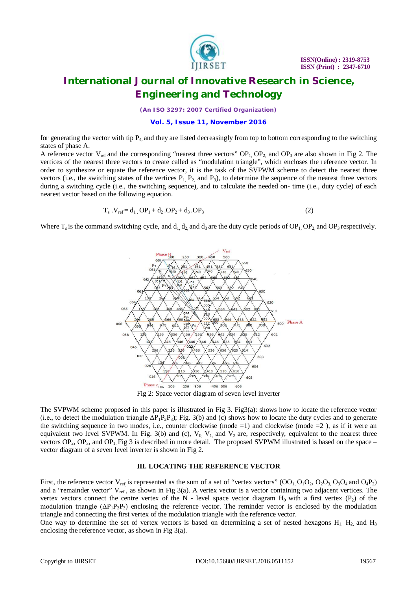

*(An ISO 3297: 2007 Certified Organization)*

**Vol. 5, Issue 11, November 2016**

for generating the vector with tip  $P_4$  and they are listed decreasingly from top to bottom corresponding to the switching states of phase A.

A reference vector  $V_{ref}$  and the corresponding "nearest three vectors"  $OP_1$ ,  $OP_2$  and  $OP_3$  are also shown in Fig 2. The vertices of the nearest three vectors to create called as "modulation triangle", which encloses the reference vector. In order to synthesize or equate the reference vector, it is the task of the SVPWM scheme to detect the nearest three vectors (i.e., the switching states of the vertices  $P_1$ ,  $P_2$ , and  $P_3$ ), to determine the sequence of the nearest three vectors during a switching cycle (i.e., the switching sequence), and to calculate the needed on- time (i.e., duty cycle) of each nearest vector based on the following equation.

$$
T_s \cdot V_{ref} = d_1 \cdot OP_1 + d_2 \cdot OP_2 + d_3 \cdot OP_3 \tag{2}
$$

Where  $T_s$  is the command switching cycle, and  $d_1$  d<sub>2</sub> and d<sub>3</sub> are the duty cycle periods of OP<sub>1</sub> OP<sub>2</sub> and OP<sub>3</sub> respectively.



Fig 2: Space vector diagram of seven level inverter

The SVPWM scheme proposed in this paper is illustrated in Fig 3. Fig3(a): shows how to locate the reference vector (i.e., to detect the modulation triangle  $\Delta P_1P_2P_3$ ); Fig. 3(b) and (c) shows how to locate the duty cycles and to generate the switching sequence in two modes, i.e., counter clockwise (mode =1) and clockwise (mode =2), as if it were an equivalent two level SVPWM. In Fig. 3(b) and (c),  $V_0$ ,  $V_1$  and  $V_2$  are, respectively, equivalent to the nearest three vectors  $OP_2$ ,  $OP_3$ , and  $OP_1$ . Fig 3 is described in more detail. The proposed SVPWM illustrated is based on the space – vector diagram of a seven level inverter is shown in Fig 2.

### **III. LOCATING THE REFERENCE VECTOR**

First, the reference vector  $V_{ref}$  is represented as the sum of a set of "vertex vectors"  $(OO_1, O_1O_2, O_2O_3, O_3O_4$  and  $O_4P_2)$ and a "remainder vector"  $V_{ref}$ , as shown in Fig 3(a). A vertex vector is a vector containing two adjacent vertices. The vertex vectors connect the centre vertex of the N - level space vector diagram  $H_0$  with a first vertex (P<sub>2</sub>) of the modulation triangle  $(\Delta P_1 P_2 P_3)$  enclosing the reference vector. The reminder vector is enclosed by the modulation triangle and connecting the first vertex of the modulation triangle with the reference vector.

One way to determine the set of vertex vectors is based on determining a set of nested hexagons  $H_1$ ,  $H_2$ , and  $H_3$ enclosing the reference vector, as shown in Fig 3(a).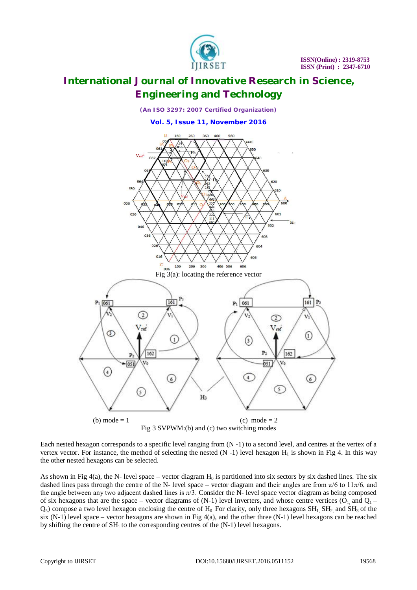



Each nested hexagon corresponds to a specific level ranging from (N -1) to a second level, and centres at the vertex of a vertex vector. For instance, the method of selecting the nested  $(N - 1)$  level hexagon  $H_1$  is shown in Fig 4. In this way the other nested hexagons can be selected.

As shown in Fig 4(a), the N- level space – vector diagram  $H_0$  is partitioned into six sectors by six dashed lines. The six dashed lines pass through the centre of the N- level space – vector diagram and their angles are from  $\pi/6$  to  $11\pi/6$ , and the angle between any two adjacent dashed lines is  $\pi/3$ . Consider the N- level space vector diagram as being composed of six hexagons that are the space – vector diagrams of  $(N-1)$  level inverters, and whose centre vertices  $(O_1$  and  $Q_1$  –  $Q_5$ ) compose a two level hexagon enclosing the centre of  $H_0$ . For clarity, only three hexagons  $SH_1$ ,  $SH_2$  and  $SH_3$  of the six  $(N-1)$  level space – vector hexagons are shown in Fig  $4(a)$ , and the other three  $(N-1)$  level hexagons can be reached by shifting the centre of  $SH<sub>1</sub>$  to the corresponding centres of the  $(N-1)$  level hexagons.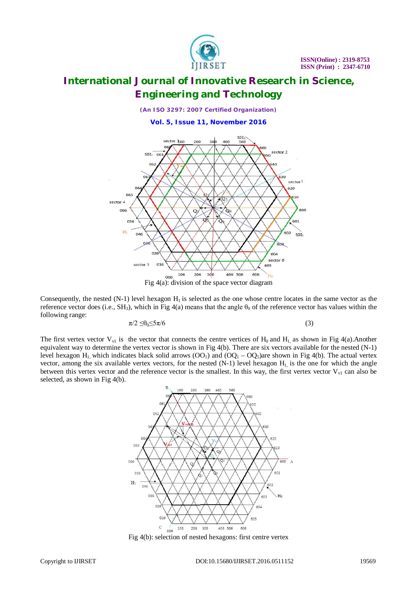

*(An ISO 3297: 2007 Certified Organization)*

**Vol. 5, Issue 11, November 2016**



Fig 4(a): division of the space vector diagram

Consequently, the nested  $(N-1)$  level hexagon  $H_1$  is selected as the one whose centre locates in the same vector as the reference vector does (i.e., SH<sub>3</sub>), which in Fig 4(a) means that the angle  $\theta_0$  of the reference vector has values within the following range:

$$
\pi/2 \leq \theta_0 \leq 5\pi/6 \tag{3}
$$

The first vertex vector  $V_{\text{v1}}$  is the vector that connects the centre vertices of H<sub>0</sub> and H<sub>1</sub> as shown in Fig 4(a).Another equivalent way to determine the vertex vector is shown in Fig 4(b). There are six vectors available for the nested (N-1) level hexagon H<sub>1</sub>, which indicates black solid arrows  $(OO<sub>1</sub>)$  and  $(OQ<sub>1</sub> - OQ<sub>5</sub>)$ are shown in Fig 4(b). The actual vertex vector, among the six available vertex vectors, for the nested  $(N-1)$  level hexagon  $H<sub>1</sub>$  is the one for which the angle between this vertex vector and the reference vector is the smallest. In this way, the first vertex vector  $V_{v1}$  can also be selected, as shown in Fig 4(b).



Fig 4(b): selection of nested hexagons: first centre vertex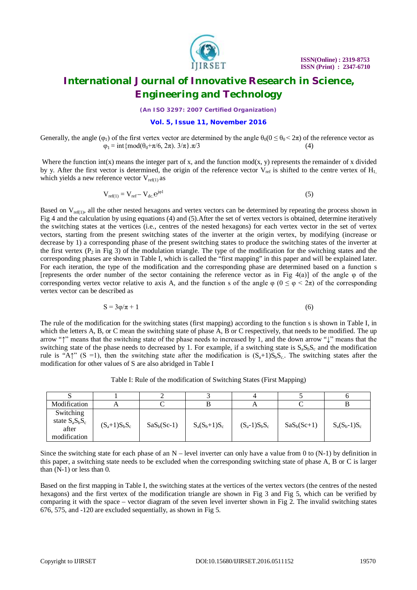

*(An ISO 3297: 2007 Certified Organization)*

#### **Vol. 5, Issue 11, November 2016**

Generally, the angle ( $\varphi_1$ ) of the first vertex vector are determined by the angle  $\theta_0(0 \le \theta_0 < 2\pi)$  of the reference vector as  $\varphi_1 = \text{int}\{\text{mod}(\theta_0 + \pi/6, 2\pi), 3/\pi\}, \pi/3$  (4)

Where the function int(x) means the integer part of x, and the function  $mod(x, y)$  represents the remainder of x divided by y. After the first vector is determined, the origin of the reference vector  $V_{ref}$  is shifted to the centre vertex of  $H_1$ , which yields a new reference vector  $V_{ref(1)}$  as

$$
V_{ref(1)} = V_{ref} - V_{dc} e^{j\varphi 1}
$$
 (5)

Based on  $V_{ref(1)}$ , all the other nested hexagons and vertex vectors can be determined by repeating the process shown in Fig 4 and the calculation by using equations (4) and (5).After the set of vertex vectors is obtained, determine iteratively the switching states at the vertices (i.e., centres of the nested hexagons) for each vertex vector in the set of vertex vectors, starting from the present switching states of the inverter at the origin vertex, by modifying (increase or decrease by 1) a corresponding phase of the present switching states to produce the switching states of the inverter at the first vertex ( $P_2$  in Fig 3) of the modulation triangle. The type of the modification for the switching states and the corresponding phases are shown in Table I, which is called the "first mapping" in this paper and will be explained later. For each iteration, the type of the modification and the corresponding phase are determined based on a function s [represents the order number of the sector containing the reference vector as in Fig 4(a)] of the angle  $\varphi$  of the corresponding vertex vector relative to axis A, and the function s of the angle  $\varphi$  ( $0 \le \varphi < 2\pi$ ) of the corresponding vertex vector can be described as

$$
S = 3\varphi/\pi + 1\tag{6}
$$

The rule of the modification for the switching states (first mapping) according to the function s is shown in Table I, in which the letters A, B, or C mean the switching state of phase A, B or C respectively, that needs to be modified. The up arrow "↑" means that the switching state of the phase needs to increased by 1, and the down arrow "↓" means that the switching state of the phase needs to decreased by 1. For example, if a switching state is  $S_aS_bS_c$  and the modification rule is "A↑" (S =1), then the switching state after the modification is  $(S_a+1)S_bS_c$ . The switching states after the modification for other values of S are also abridged in Table I

Table I: Rule of the modification of Switching States (First Mapping)

| Modification                                              |                 |               |                 | A               |               |                 |
|-----------------------------------------------------------|-----------------|---------------|-----------------|-----------------|---------------|-----------------|
| Switching<br>state $S_a S_b S_c$<br>after<br>modification | $(S_a+1)S_bS_c$ | $SaS_b(Sc-1)$ | $S_a(S_b+1)S_c$ | $(S_a-1)S_bS_c$ | $SaS_b(Sc+1)$ | $S_a(S_b-1)S_c$ |

Since the switching state for each phase of an  $N$  – level inverter can only have a value from 0 to  $(N-1)$  by definition in this paper, a switching state needs to be excluded when the corresponding switching state of phase A, B or C is larger than (N-1) or less than 0.

Based on the first mapping in Table I, the switching states at the vertices of the vertex vectors (the centres of the nested hexagons) and the first vertex of the modification triangle are shown in Fig 3 and Fig 5, which can be verified by comparing it with the space – vector diagram of the seven level inverter shown in Fig 2. The invalid switching states 676, 575, and -120 are excluded sequentially, as shown in Fig 5.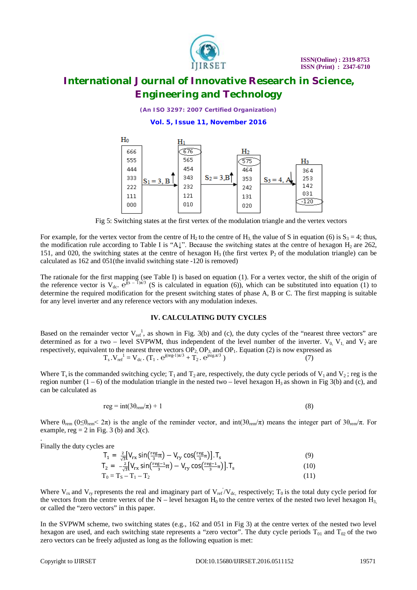

*(An ISO 3297: 2007 Certified Organization)* **Vol. 5, Issue 11, November 2016**



Fig 5: Switching states at the first vertex of the modulation triangle and the vertex vectors

For example, for the vertex vector from the centre of H<sub>2</sub> to the centre of H<sub>3</sub> the value of S in equation (6) is  $S_3 = 4$ ; thus, the modification rule according to Table I is "A↓". Because the switching states at the centre of hexagon  $H_2$  are 262, 151, and 020, the switching states at the centre of hexagon  $H_3$  (the first vertex  $P_2$  of the modulation triangle) can be calculated as 162 and 051(the invalid switching state -120 is removed)

The rationale for the first mapping (see Table I) is based on equation (1). For a vertex vector, the shift of the origin of the reference vector is  $V_{dc}$ .  $e^{j(s-1)\pi/3}$  (S is calculated in equation (6)), which can be substituted into equation (1) to determine the required modification for the present switching states of phase A, B or C. The first mapping is suitable for any level inverter and any reference vectors with any modulation indexes.

### **IV. CALCULATING DUTY CYCLES**

Based on the remainder vector  $V_{ref}^1$ , as shown in Fig. 3(b) and (c), the duty cycles of the "nearest three vectors" are determined as for a two – level SVPWM, thus independent of the level number of the inverter.  $V_0$ ,  $V_1$  and  $V_2$  are respectively, equivalent to the nearest three vectors  $OP_2$ ,  $OP_3$ , and  $OP_1$ . Equation (2) is now expressed as  $T_s \cdot V_{\text{ref}}^{-1} = V_{\text{dc}} \cdot (T_1 \cdot e^{j(\text{reg-1})\pi/3} + T_2 \cdot e^{j\text{reg.}\pi/3})$  (7)

Where  $T_s$  is the commanded switching cycle;  $T_1$  and  $T_2$  are, respectively, the duty cycle periods of  $V_1$  and  $V_2$ ; reg is the region number  $(1 - 6)$  of the modulation triangle in the nested two – level hexagon  $H_3$  as shown in Fig 3(b) and (c), and can be calculated as

$$
reg = int(3\theta_{rem}/\pi) + 1
$$
 (8)

Where  $\theta_{\text{rem}}$  (0 $\leq \theta_{\text{rem}}$  2π) is the angle of the reminder vector, and int(3 $\theta_{\text{rem}}$ )π) means the integer part of 3 $\theta_{\text{rem}}$ /π. For example,  $reg = 2$  in Fig. 3 (b) and 3(c).

. Finally the duty cycles are

| $T_1 = \frac{2}{\sqrt{3}}[V_{rx} \sin(\frac{reg}{3}\pi) - V_{ry} \cos(\frac{reg}{3}\pi)].$ T <sub>s</sub> | (9)  |
|-----------------------------------------------------------------------------------------------------------|------|
| $T_2 = -\frac{2}{\sqrt{3}}[V_{rx} \sin(\frac{reg-1}{3}\pi) - V_{ry} \cos(\frac{reg-1}{3}\pi)].$           | (10) |
| $T_0 = T_S - T_1 - T_2$                                                                                   | (11) |

Where  $V_{rx}$  and  $V_{ry}$  represents the real and imaginary part of  $V_{ref}/V_{dc}$ , respectively;  $T_0$  is the total duty cycle period for the vectors from the centre vertex of the N – level hexagon  $H_0$  to the centre vertex of the nested two level hexagon  $H_3$ , or called the "zero vectors" in this paper.

In the SVPWM scheme, two switching states (e.g., 162 and 051 in Fig 3) at the centre vertex of the nested two level hexagon are used, and each switching state represents a "zero vector". The duty cycle periods  $T_{01}$  and  $T_{02}$  of the two zero vectors can be freely adjusted as long as the following equation is met: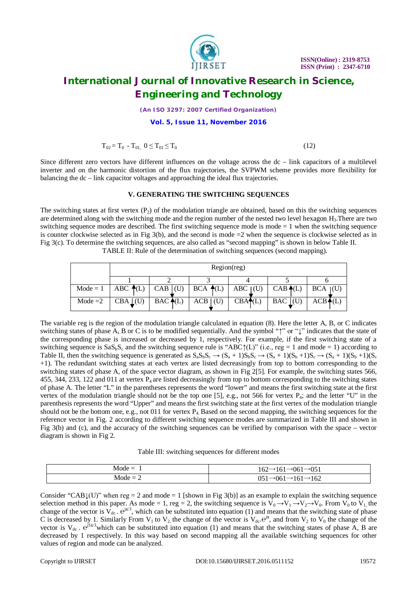

*(An ISO 3297: 2007 Certified Organization)*

#### **Vol. 5, Issue 11, November 2016**

$$
T_{02} = T_0 - T_{01}, \ 0 \le T_{01} \le T_0 \tag{12}
$$

Since different zero vectors have different influences on the voltage across the  $dc - link$  capacitors of a multilevel inverter and on the harmonic distortion of the flux trajectories, the SVPWM scheme provides more flexibility for balancing the dc – link capacitor voltages and approaching the ideal flux trajectories.

### **V. GENERATING THE SWITCHING SEQUENCES**

The switching states at first vertex  $(P_2)$  of the modulation triangle are obtained, based on this the switching sequences are determined along with the switching mode and the region number of the nested two level hexagon H<sub>3</sub>. There are two switching sequence modes are described. The first switching sequence mode is mode  $= 1$  when the switching sequence is counter clockwise selected as in Fig  $3(b)$ , and the second is mode  $=2$  when the sequence is clockwise selected as in Fig 3(c). To determine the switching sequences, are also called as "second mapping" is shown in below Table II. TABLE II: Rule of the determination of switching sequences (second mapping).

| Region(reg)                                                       |                                                                                    |           |        |                         |                    |
|-------------------------------------------------------------------|------------------------------------------------------------------------------------|-----------|--------|-------------------------|--------------------|
|                                                                   |                                                                                    |           |        |                         |                    |
|                                                                   | Mode = 1   ABC $\triangleleft$ (L)   CAB  (U)   BCA $\triangleleft$ (L)   ABC  (U) |           |        | $CAB \triangleleft (L)$ | BCA (U)            |
| Mode = 2 $\overline{\phantom{a}}$ CBA $\overline{\phantom{a}}$ CU | $BAC \bigoplus (L)$                                                                | $ACB$ (U) | CBA(1) | $BAC$ (U)               | $ACB\spadesuit(L)$ |

The variable reg is the region of the modulation triangle calculated in equation (8). Here the letter A, B, or C indicates switching states of phase A, B or C is to be modified sequentially. And the symbol "↑" or "↓" indicates that the state of the corresponding phase is increased or decreased by 1, respectively. For example, if the first switching state of a switching sequence is  $SaS_bS_c$  and the switching sequence rule is "ABC↑(L)" (i.e., reg = 1 and mode = 1) according to Table II, then the switching sequence is generated as  $S_aS_bS_c \rightarrow (S_a + 1)S_bS_c \rightarrow (S_a + 1)(S_b + 1)S_c \rightarrow (S_a + 1)(S_b + 1)(S_c + 1)S_c$ +1). The redundant switching states at each vertex are listed decreasingly from top to bottom corresponding to the switching states of phase A, of the space vector diagram, as shown in Fig 2[5]. For example, the switching states 566, 455, 344, 233, 122 and 011 at vertex  $P_4$  are listed decreasingly from top to bottom corresponding to the switching states of phase A. The letter "L" in the parentheses represents the word "lower" and means the first switching state at the first vertex of the modulation triangle should not be the top one [5], e.g., not 566 for vertex  $P_4$ ; and the letter "U" in the parenthesis represents the word "Upper" and means the first switching state at the first vertex of the modulation triangle should not be the bottom one, e.g., not 011 for vertex  $P_4$ . Based on the second mapping, the switching sequences for the reference vector in Fig. 2 according to different switching sequence modes are summarized in Table III and shown in Fig 3(b) and (c), and the accuracy of the switching sequences can be verified by comparison with the space – vector diagram is shown in Fig 2.

Table III: switching sequences for different modes

| $Mode =$      | $\rightarrow 051$<br>--<br>.061<br>104<br>101      |
|---------------|----------------------------------------------------|
| $Mode =$<br>- | 162<br>∩⊏∸<br>$\sim$<br>. .<br>UU 1<br>101<br>UJ 1 |

Consider "CAB $\downarrow$ (U)" when reg = 2 and mode = 1 [shown in Fig 3(b)] as an example to explain the switching sequence selection method in this paper. As mode = 1, reg = 2, the switching sequence is  $V_0 \rightarrow V_1 \rightarrow V_2 \rightarrow V_0$ . From  $V_0$  to  $V_1$ , the change of the vector is  $V_{dc}$ .  $e^{j\pi/3}$ , which can be substituted into equation (1) and means that the switching state of phase C is decreased by 1. Similarly From  $V_1$  to  $V_2$ , the change of the vector is  $V_{dc}$ .  $e^{j\pi}$ , and from  $V_2$  to  $V_0$  the change of the vector is  $V_{dc}$ .  $e^{j5\pi/3}$  which can be substituted into equation (1) and means that the switching states of phase A, B are decreased by 1 respectively. In this way based on second mapping all the available switching sequences for other values of region and mode can be analyzed.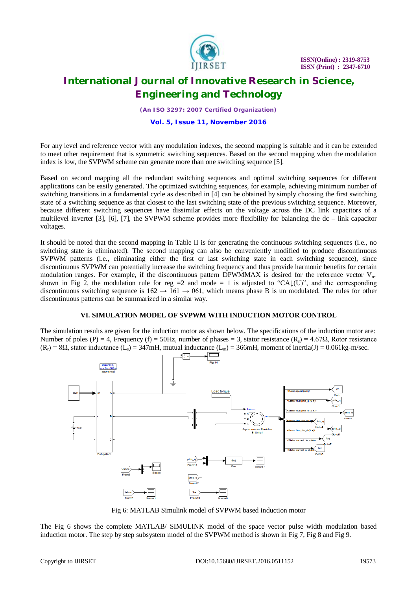

*(An ISO 3297: 2007 Certified Organization)*

#### **Vol. 5, Issue 11, November 2016**

For any level and reference vector with any modulation indexes, the second mapping is suitable and it can be extended to meet other requirement that is symmetric switching sequences. Based on the second mapping when the modulation index is low, the SVPWM scheme can generate more than one switching sequence [5].

Based on second mapping all the redundant switching sequences and optimal switching sequences for different applications can be easily generated. The optimized switching sequences, for example, achieving minimum number of switching transitions in a fundamental cycle as described in [4] can be obtained by simply choosing the first switching state of a switching sequence as that closest to the last switching state of the previous switching sequence. Moreover, because different switching sequences have dissimilar effects on the voltage across the DC link capacitors of a multilevel inverter [3], [6], [7], the SVPWM scheme provides more flexibility for balancing the dc – link capacitor voltages.

It should be noted that the second mapping in Table II is for generating the continuous switching sequences (i.e., no switching state is eliminated). The second mapping can also be conveniently modified to produce discontinuous SVPWM patterns (i.e., eliminating either the first or last switching state in each switching sequence), since discontinuous SVPWM can potentially increase the switching frequency and thus provide harmonic benefits for certain modulation ranges. For example, if the discontinuous pattern DPWMMAX is desired for the reference vector  $V_{ref}$ shown in Fig 2, the modulation rule for reg =2 and mode = 1 is adjusted to "CA $\downarrow$ (U)", and the corresponding discontinuous switching sequence is  $162 \rightarrow 161 \rightarrow 061$ , which means phase B is un modulated. The rules for other discontinuous patterns can be summarized in a similar way.

### **VI. SIMULATION MODEL OF SVPWM WITH INDUCTION MOTOR CONTROL**

The simulation results are given for the induction motor as shown below. The specifications of the induction motor are: Number of poles (P) = 4, Frequency (f) = 50Hz, number of phases = 3, stator resistance (R<sub>s</sub>) = 4.67 $\Omega$ , Rotor resistance  $(R_r) = 8\Omega$ , stator inductance  $(L_s) = 347$ mH, mutual inductance  $(L_m) = 366$ mH, moment of inertia(J) = 0.061kg-m/sec.



Fig 6: MATLAB Simulink model of SVPWM based induction motor

The Fig 6 shows the complete MATLAB/ SIMULINK model of the space vector pulse width modulation based induction motor. The step by step subsystem model of the SVPWM method is shown in Fig 7, Fig 8 and Fig 9.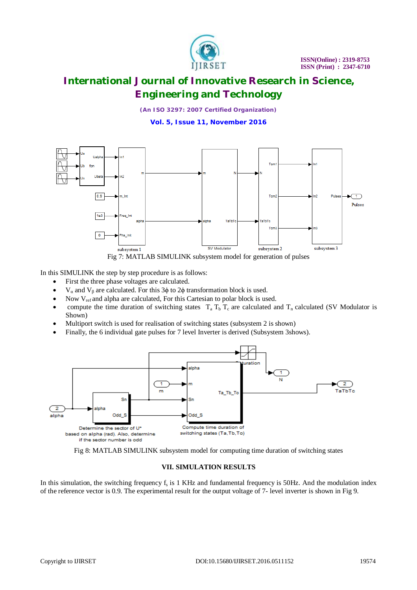

*(An ISO 3297: 2007 Certified Organization)*

**Vol. 5, Issue 11, November 2016**



Fig 7: MATLAB SIMULINK subsystem model for generation of pulses

In this SIMULINK the step by step procedure is as follows:

- First the three phase voltages are calculated.
- V<sub>α</sub> and V<sub>β</sub> are calculated. For this 3φ to 2φ transformation block is used.
- Now V<sub>ref</sub> and alpha are calculated, For this Cartesian to polar block is used.
- compute the time duration of switching states  $T_a T_b T_c$  are calculated and  $T_n$  calculated (SV Modulator is Shown)
- Multiport switch is used for realisation of switching states (subsystem 2 is shown)
- Finally, the 6 individual gate pulses for 7 level Inverter is derived (Subsystem 3shows).





### **VII. SIMULATION RESULTS**

In this simulation, the switching frequency  $f_s$  is 1 KHz and fundamental frequency is 50Hz. And the modulation index of the reference vector is 0.9. The experimental result for the output voltage of 7- level inverter is shown in Fig 9.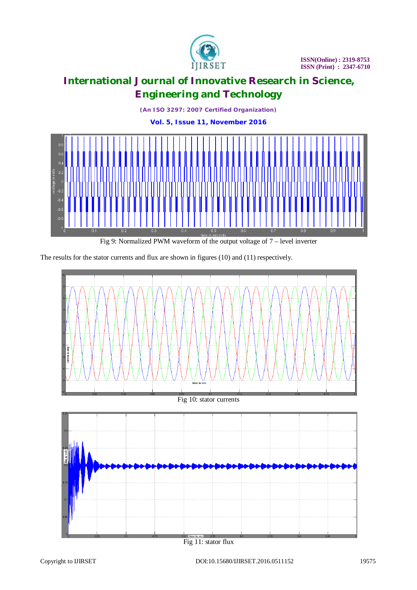

*(An ISO 3297: 2007 Certified Organization)* **Vol. 5, Issue 11, November 2016**



Fig 9: Normalized PWM waveform of the output voltage of 7 – level inverter

The results for the stator currents and flux are shown in figures (10) and (11) respectively.